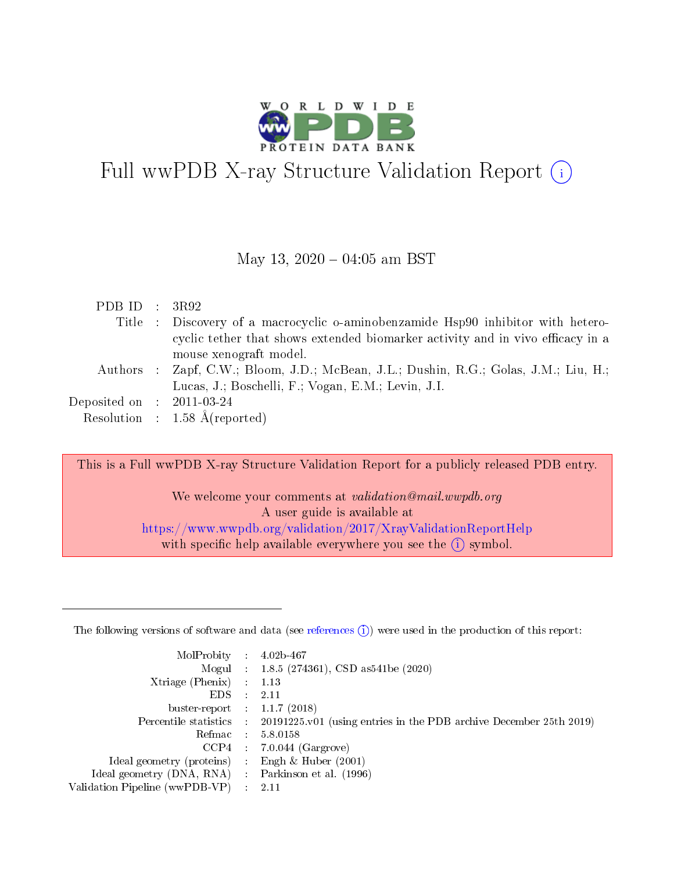

# Full wwPDB X-ray Structure Validation Report (i)

#### May 13,  $2020 - 04:05$  am BST

| PDB ID : $3R92$                     |                                                                                      |
|-------------------------------------|--------------------------------------------------------------------------------------|
|                                     | Title : Discovery of a macrocyclic o-aminobenzamide Hsp90 inhibitor with hetero-     |
|                                     | cyclic tether that shows extended biomarker activity and in vivo efficacy in a       |
|                                     | mouse xenograft model.                                                               |
|                                     | Authors : Zapf, C.W.; Bloom, J.D.; McBean, J.L.; Dushin, R.G.; Golas, J.M.; Liu, H.; |
|                                     | Lucas, J.; Boschelli, F.; Vogan, E.M.; Levin, J.I.                                   |
| Deposited on $\;$ : 2011-03-24 $\;$ |                                                                                      |
|                                     | Resolution : $1.58 \text{ Å}$ (reported)                                             |

This is a Full wwPDB X-ray Structure Validation Report for a publicly released PDB entry.

We welcome your comments at *validation@mail.wwpdb.org* A user guide is available at <https://www.wwpdb.org/validation/2017/XrayValidationReportHelp> with specific help available everywhere you see the  $(i)$  symbol.

The following versions of software and data (see [references](https://www.wwpdb.org/validation/2017/XrayValidationReportHelp#references)  $(1)$ ) were used in the production of this report:

| MolProbity :                   |               | $4.02b - 467$                                                               |
|--------------------------------|---------------|-----------------------------------------------------------------------------|
|                                |               | Mogul : $1.8.5$ (274361), CSD as 541be (2020)                               |
| Xtriage (Phenix)               | $\mathcal{L}$ | 1.13                                                                        |
| EDS.                           |               | 2.11                                                                        |
| buster-report : $1.1.7$ (2018) |               |                                                                             |
| Percentile statistics :        |               | $20191225 \text{v}01$ (using entries in the PDB archive December 25th 2019) |
| Refmac :                       |               | 5.8.0158                                                                    |
| CCP4                           |               | $7.0.044$ (Gargrove)                                                        |
| Ideal geometry (proteins) :    |               | Engh $\&$ Huber (2001)                                                      |
| Ideal geometry (DNA, RNA) :    |               | Parkinson et al. (1996)                                                     |
| Validation Pipeline (wwPDB-VP) | ÷             | 2.11                                                                        |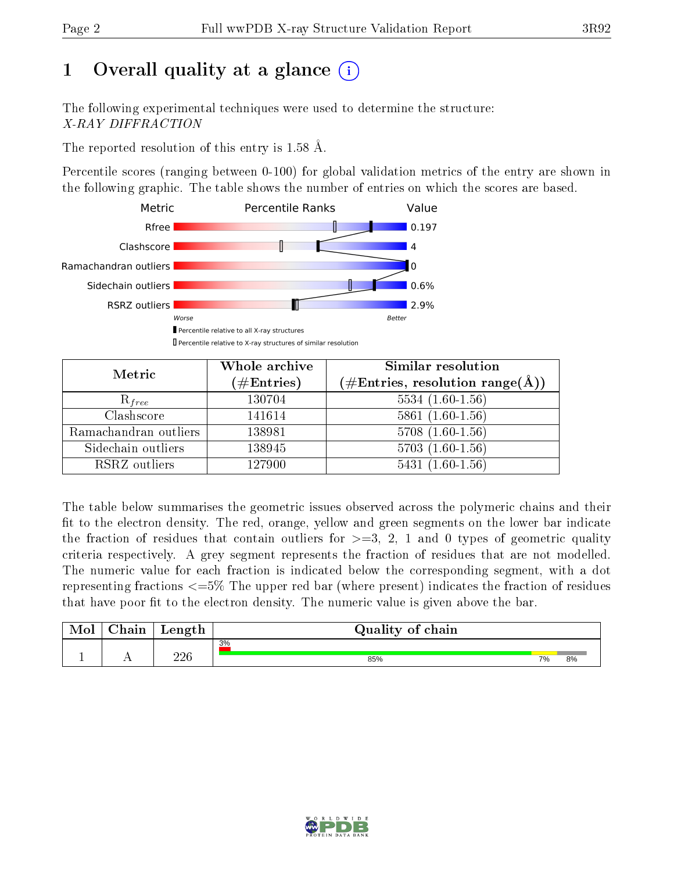# 1 [O](https://www.wwpdb.org/validation/2017/XrayValidationReportHelp#overall_quality)verall quality at a glance  $(i)$

The following experimental techniques were used to determine the structure: X-RAY DIFFRACTION

The reported resolution of this entry is 1.58 Å.

Percentile scores (ranging between 0-100) for global validation metrics of the entry are shown in the following graphic. The table shows the number of entries on which the scores are based.



| Metric                | Whole archive<br>$(\#\mathrm{Entries})$ | <b>Similar resolution</b><br>$(\#\text{Entries}, \, \text{resolution range}(\textup{\AA}))$ |
|-----------------------|-----------------------------------------|---------------------------------------------------------------------------------------------|
| $R_{free}$            | 130704                                  | $5534(1.60-1.56)$                                                                           |
| Clashscore            | 141614                                  | $5861(1.60-1.56)$                                                                           |
| Ramachandran outliers | 138981                                  | $5708(1.60-1.56)$                                                                           |
| Sidechain outliers    | 138945                                  | $5703(1.60-1.56)$                                                                           |
| RSRZ outliers         | 127900                                  | $5431(1.60-1.56)$                                                                           |

The table below summarises the geometric issues observed across the polymeric chains and their fit to the electron density. The red, orange, yellow and green segments on the lower bar indicate the fraction of residues that contain outliers for  $>=3, 2, 1$  and 0 types of geometric quality criteria respectively. A grey segment represents the fraction of residues that are not modelled. The numeric value for each fraction is indicated below the corresponding segment, with a dot representing fractions  $\epsilon=5\%$  The upper red bar (where present) indicates the fraction of residues that have poor fit to the electron density. The numeric value is given above the bar.

| Mol | $\cap$ hain | Length     | Quality of chain |    |    |
|-----|-------------|------------|------------------|----|----|
|     |             |            | 3%               |    |    |
| л.  | . .         | ววค<br>∠∠∪ | 85%              | 7% | 8% |

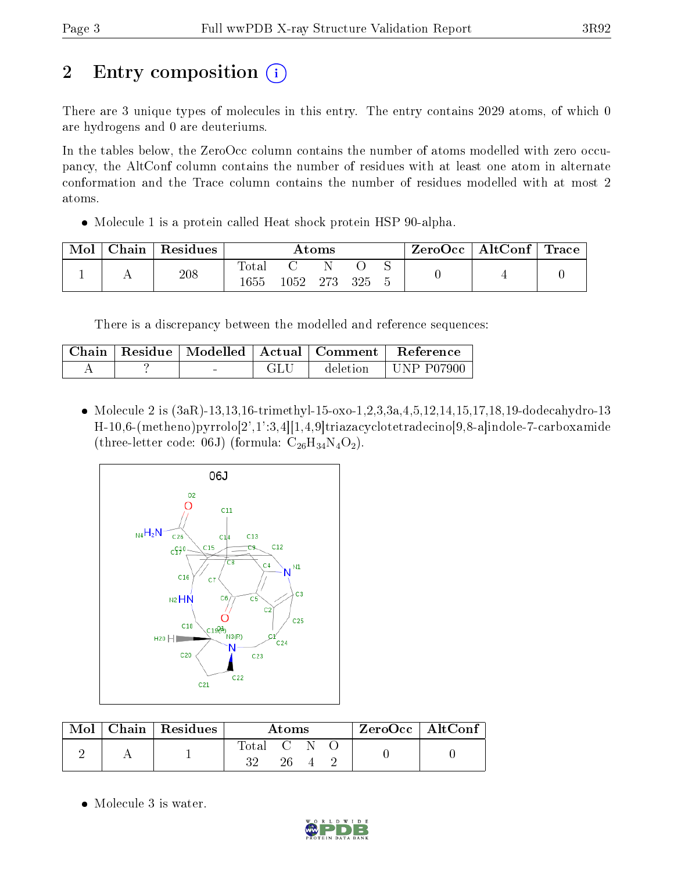# 2 Entry composition  $(i)$

There are 3 unique types of molecules in this entry. The entry contains 2029 atoms, of which 0 are hydrogens and 0 are deuteriums.

In the tables below, the ZeroOcc column contains the number of atoms modelled with zero occupancy, the AltConf column contains the number of residues with at least one atom in alternate conformation and the Trace column contains the number of residues modelled with at most 2 atoms.

Molecule 1 is a protein called Heat shock protein HSP 90-alpha.

| Mol | ${\rm Chain}$ | Residues | Atoms         |      |      |     | $\text{ZeroOcc} \mid \text{AltConf} \mid$ | $\lq$ Trace |  |
|-----|---------------|----------|---------------|------|------|-----|-------------------------------------------|-------------|--|
|     |               | 208      | Total<br>1655 | 1052 | -273 | 325 |                                           |             |  |

There is a discrepancy between the modelled and reference sequences:

| Chain |  | $\Box$   Residue   Modelled   Actual   Comment | Reference  |
|-------|--|------------------------------------------------|------------|
|       |  | deletion.                                      | UNP P07900 |

• Molecule 2 is  $(3aR)$ -13,13,16-trimethyl-15-oxo-1,2,3,3a,4,5,12,14,15,17,18,19-dodecahydro-13 H-10,6-(metheno)pyrrolo[2',1':3,4][1,4,9]triazacyclotetradecino[9,8-a]indole-7-carboxamide (three-letter code: 06J) (formula:  $C_{26}H_{34}N_4O_2$ ).



| $\text{Mol}$ | $\mid$ Chain $\mid$ Residues $\mid$ | Atoms     |    |  |  | $ZeroOcc \mid AltConf \mid$ |
|--------------|-------------------------------------|-----------|----|--|--|-----------------------------|
|              |                                     | Total C N | 26 |  |  |                             |

• Molecule 3 is water.

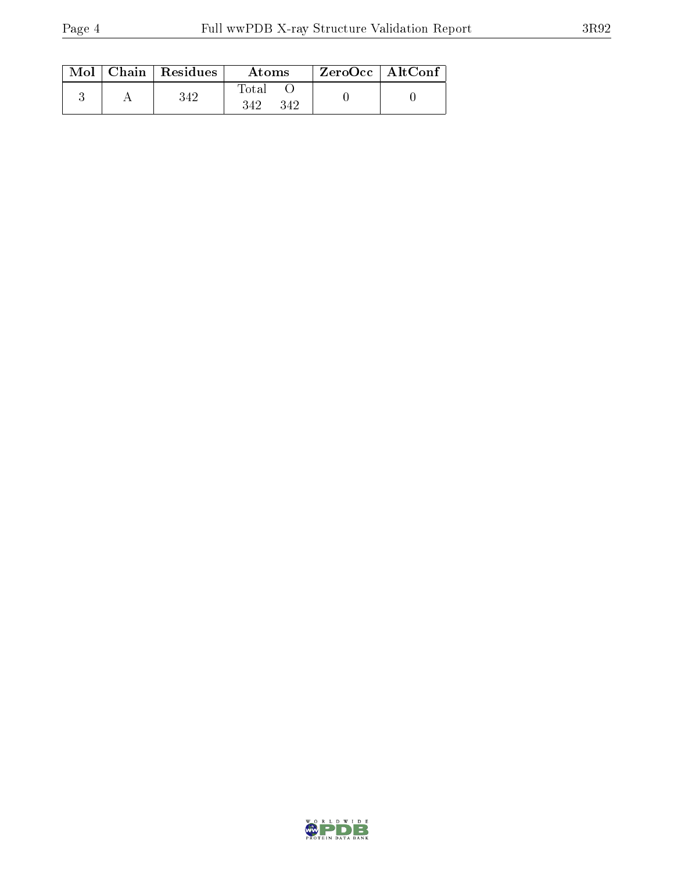|  | $\text{Mol}$   Chain   Residues | Atoms               | $\rm ZeroOcc$   AltConf |  |
|--|---------------------------------|---------------------|-------------------------|--|
|  | 342                             | Total<br>342<br>342 |                         |  |

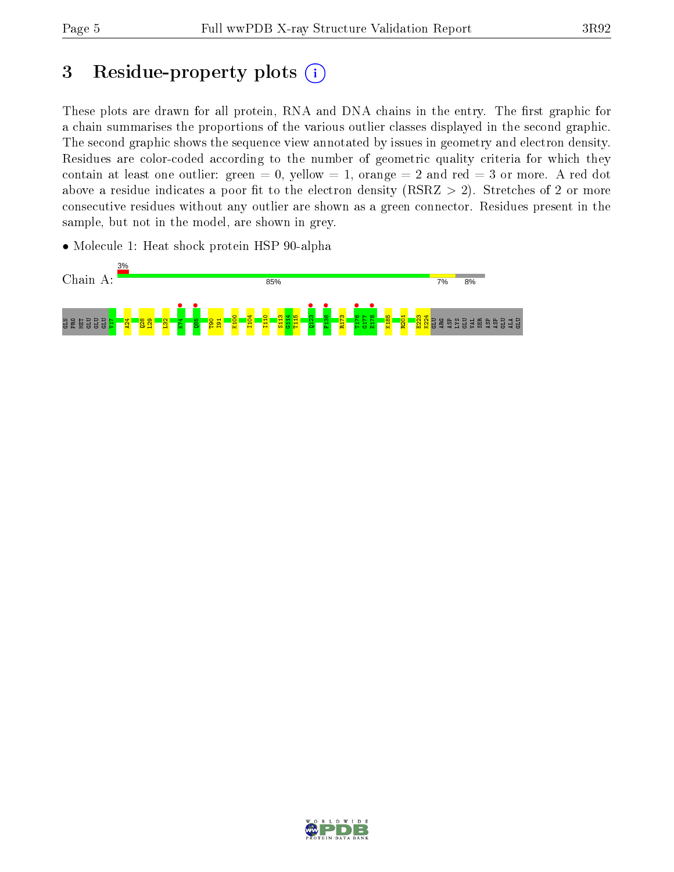# 3 Residue-property plots  $(i)$

These plots are drawn for all protein, RNA and DNA chains in the entry. The first graphic for a chain summarises the proportions of the various outlier classes displayed in the second graphic. The second graphic shows the sequence view annotated by issues in geometry and electron density. Residues are color-coded according to the number of geometric quality criteria for which they contain at least one outlier: green  $= 0$ , yellow  $= 1$ , orange  $= 2$  and red  $= 3$  or more. A red dot above a residue indicates a poor fit to the electron density (RSRZ  $> 2$ ). Stretches of 2 or more consecutive residues without any outlier are shown as a green connector. Residues present in the sample, but not in the model, are shown in grey.

• Molecule 1: Heat shock protein HSP 90-alpha



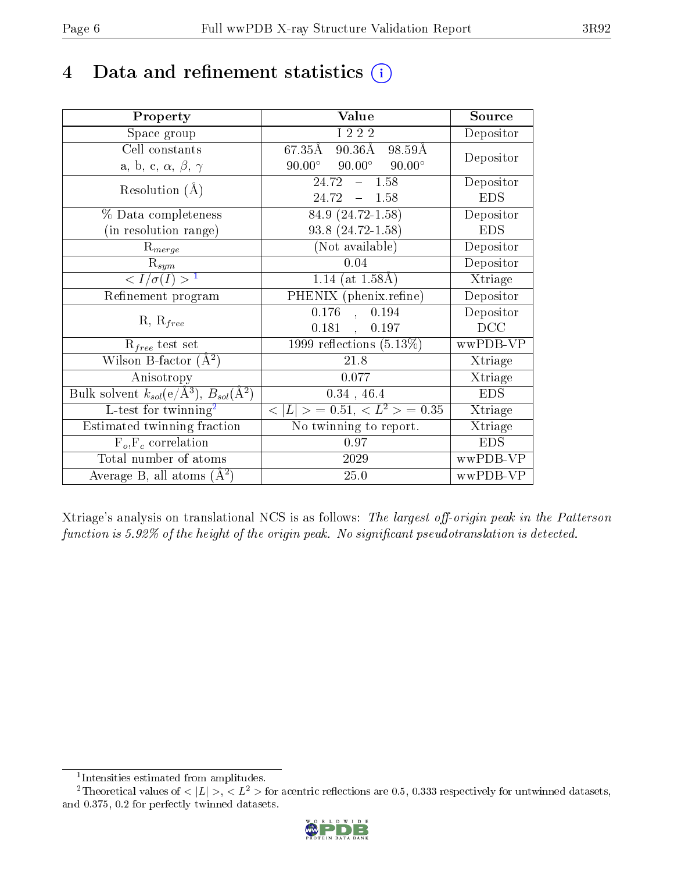# 4 Data and refinement statistics  $(i)$

| Property                                                             | Value                                            | Source     |
|----------------------------------------------------------------------|--------------------------------------------------|------------|
| Space group                                                          | I 2 2 2                                          | Depositor  |
| Cell constants                                                       | 67.35Å<br>90.36Å 98.59Å                          | Depositor  |
| a, b, c, $\alpha$ , $\beta$ , $\gamma$                               | $90.00^{\circ}$ $90.00^{\circ}$<br>$90.00^\circ$ |            |
| Resolution $(A)$                                                     | $-1.58$<br>24.72                                 | Depositor  |
|                                                                      | 24.72<br>$-1.58$                                 | <b>EDS</b> |
| % Data completeness                                                  | 84.9 (24.72-1.58)                                | Depositor  |
| (in resolution range)                                                | $93.8(24.72 - 1.58)$                             | <b>EDS</b> |
| $R_{merge}$                                                          | (Not available)                                  | Depositor  |
| $\mathrm{R}_{sym}$                                                   | 0.04                                             | Depositor  |
| $\langle I/\sigma(I) \rangle$ <sup>1</sup>                           | 1.14 (at $1.58\text{\AA}$ )                      | Xtriage    |
| Refinement program                                                   | PHENIX (phenix.refine)                           | Depositor  |
| $R, R_{free}$                                                        | $0.176$ ,<br>0.194                               | Depositor  |
|                                                                      | $0.181$ ,<br>0.197                               | DCC        |
| $R_{free}$ test set                                                  | 1999 reflections $(5.13\%)$                      | wwPDB-VP   |
| Wilson B-factor $(A^2)$                                              | 21.8                                             | Xtriage    |
| Anisotropy                                                           | 0.077                                            | Xtriage    |
| Bulk solvent $k_{sol}(e/\mathring{A}^3)$ , $B_{sol}(\mathring{A}^2)$ | $0.34$ , 46.4                                    | <b>EDS</b> |
| L-test for twinning <sup>2</sup>                                     | $< L >$ = 0.51, $< L2$ > = 0.35                  | Xtriage    |
| Estimated twinning fraction                                          | No twinning to report.                           | Xtriage    |
| $F_o, F_c$ correlation                                               | 0.97                                             | <b>EDS</b> |
| Total number of atoms                                                | 2029                                             | wwPDB-VP   |
| Average B, all atoms $(A^2)$                                         | 25.0                                             | wwPDB-VP   |

Xtriage's analysis on translational NCS is as follows: The largest off-origin peak in the Patterson function is  $5.92\%$  of the height of the origin peak. No significant pseudotranslation is detected.

<sup>&</sup>lt;sup>2</sup>Theoretical values of  $\langle |L| \rangle$ ,  $\langle L^2 \rangle$  for acentric reflections are 0.5, 0.333 respectively for untwinned datasets, and 0.375, 0.2 for perfectly twinned datasets.



<span id="page-5-1"></span><span id="page-5-0"></span><sup>1</sup> Intensities estimated from amplitudes.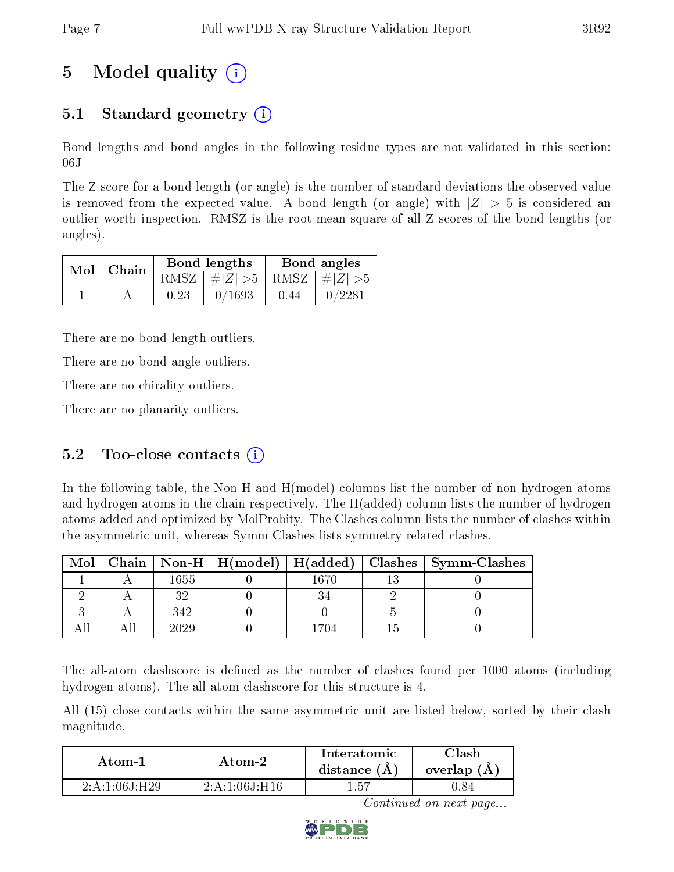# 5 Model quality  $(i)$

## 5.1 Standard geometry  $\overline{()}$

Bond lengths and bond angles in the following residue types are not validated in this section: 06J

The Z score for a bond length (or angle) is the number of standard deviations the observed value is removed from the expected value. A bond length (or angle) with  $|Z| > 5$  is considered an outlier worth inspection. RMSZ is the root-mean-square of all Z scores of the bond lengths (or angles).

| $Mol$   Chain |      | Bond lengths                    | Bond angles |        |  |
|---------------|------|---------------------------------|-------------|--------|--|
|               |      | RMSZ $ #Z  > 5$ RMSZ $ #Z  > 5$ |             |        |  |
|               | 0.23 | 0/1693                          | 0.44        | 0/2281 |  |

There are no bond length outliers.

There are no bond angle outliers.

There are no chirality outliers.

There are no planarity outliers.

### 5.2 Too-close contacts  $(i)$

In the following table, the Non-H and H(model) columns list the number of non-hydrogen atoms and hydrogen atoms in the chain respectively. The H(added) column lists the number of hydrogen atoms added and optimized by MolProbity. The Clashes column lists the number of clashes within the asymmetric unit, whereas Symm-Clashes lists symmetry related clashes.

| Mol |      |       | Chain   Non-H   H(model)   H(added)   Clashes   Symm-Clashes |
|-----|------|-------|--------------------------------------------------------------|
|     | 1655 | I 670 |                                                              |
|     |      |       |                                                              |
|     | 342  |       |                                                              |
|     | 2029 |       |                                                              |

The all-atom clashscore is defined as the number of clashes found per 1000 atoms (including hydrogen atoms). The all-atom clashscore for this structure is 4.

All (15) close contacts within the same asymmetric unit are listed below, sorted by their clash magnitude.

| Atom-2          |                         | Interatomic  | Clash         |
|-----------------|-------------------------|--------------|---------------|
| Atom-1          |                         | distance (A) | overlap $(A)$ |
| 2 A 1 06 I H 29 | $2.4 \cdot 1.06$ J H 16 | 1.57         |               |

Continued on next page...

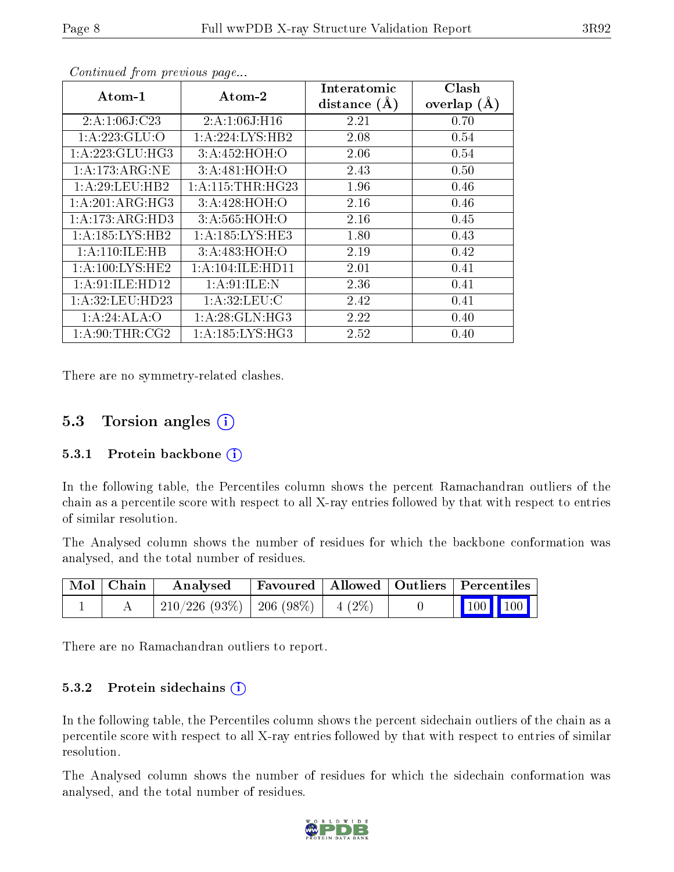| Atom-1              | $\bold{A}\text{tom-}2$ | Interatomic    | Clash         |
|---------------------|------------------------|----------------|---------------|
|                     |                        | distance $(A)$ | overlap $(A)$ |
| 2:A:1:06J:C23       | 2: A: 1:06 J:H16       | 2.21           | 0.70          |
| 1:A:223:GLU:O       | 1: A:224:LYS:HB2       | 2.08           | 0.54          |
| 1:A:223:GLU:HG3     | 3:A:452:HOH:O          | 2.06           | 0.54          |
| 1:A:173:ARG:NE      | 3:A:481:HOH:O          | 2.43           | 0.50          |
| 1:A:29:LEU:HB2      | 1: A:115:THR:HG23      | 1.96           | 0.46          |
| 1:A:201:ARG:HG3     | 3: A:428:HOH:O         | 2.16           | 0.46          |
| 1: A:173: ARG:HD3   | 3:A:565:HOH:O          | 2.16           | 0.45          |
| 1: A: 185: LYS: HB2 | 1:A:185:LYS:HE3        | 1.80           | 0.43          |
| 1:A:110:ILE:HB      | 3: A:483:HOH:O         | 2.19           | 0.42          |
| 1: A:100:LYS:HE2    | 1: A:104: ILE: HDI1    | 2.01           | 0.41          |
| 1: A:91: ILE: HD12  | 1:A:91:ILE:N           | 2.36           | 0.41          |
| 1:A:32:LEU:HD23     | 1: A:32:LEU: C         | 2.42           | 0.41          |
| 1:A:24:ALA:O        | 1:A:28:GLN:HG3         | 2.22           | 0.40          |
| 1: A:90:THR:CG2     | 1: A: 185: LYS: HG3    | 2.52           | 0.40          |

Continued from previous page...

There are no symmetry-related clashes.

### 5.3 Torsion angles (i)

#### 5.3.1 Protein backbone  $(i)$

In the following table, the Percentiles column shows the percent Ramachandran outliers of the chain as a percentile score with respect to all X-ray entries followed by that with respect to entries of similar resolution.

The Analysed column shows the number of residues for which the backbone conformation was analysed, and the total number of residues.

| Mol   Chain | $\boldsymbol{\mathrm{Analysed}}$        | Favoured   Allowed   Outliers   Percentiles |  |                 |
|-------------|-----------------------------------------|---------------------------------------------|--|-----------------|
|             | $210/226$ (93\%)   206 (98\%)   4 (2\%) |                                             |  | $\vert$ 100 100 |

There are no Ramachandran outliers to report.

#### 5.3.2 Protein sidechains  $(i)$

In the following table, the Percentiles column shows the percent sidechain outliers of the chain as a percentile score with respect to all X-ray entries followed by that with respect to entries of similar resolution.

The Analysed column shows the number of residues for which the sidechain conformation was analysed, and the total number of residues.

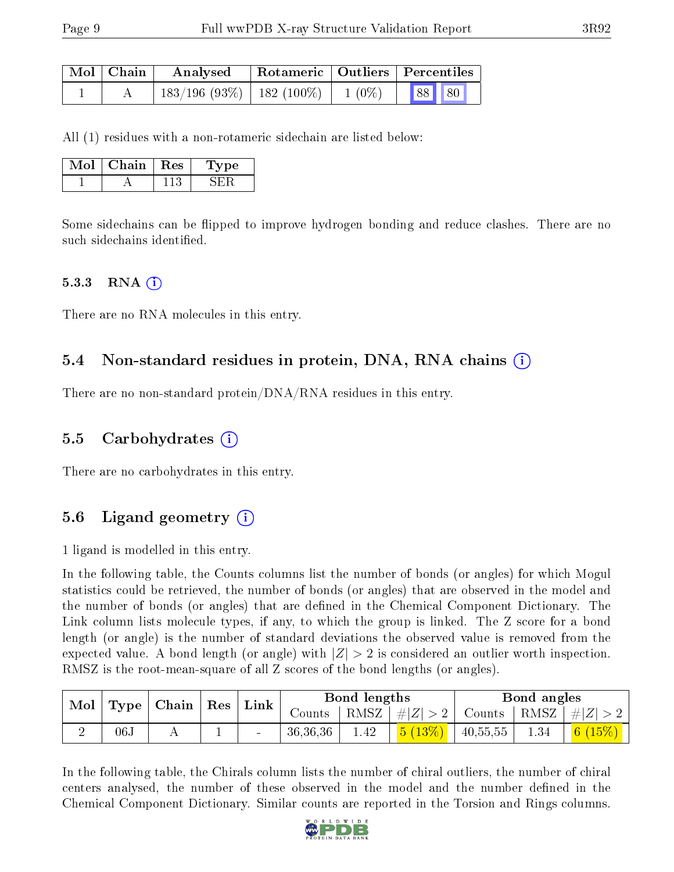| Mol   Chain | Analysed                                 |  | Rotameric   Outliers   Percentiles |       |  |
|-------------|------------------------------------------|--|------------------------------------|-------|--|
|             | $183/196$ (93\%)   182 (100\%)   1 (0\%) |  |                                    | 88 80 |  |

All (1) residues with a non-rotameric sidechain are listed below:

| Mol | Chain- | $\pm$ Res | Type |
|-----|--------|-----------|------|
|     |        |           |      |

Some sidechains can be flipped to improve hydrogen bonding and reduce clashes. There are no such sidechains identified.

#### $5.3.3$  RNA  $(i)$

There are no RNA molecules in this entry.

### 5.4 Non-standard residues in protein, DNA, RNA chains (i)

There are no non-standard protein/DNA/RNA residues in this entry.

### 5.5 Carbohydrates (i)

There are no carbohydrates in this entry.

### 5.6 Ligand geometry (i)

1 ligand is modelled in this entry.

In the following table, the Counts columns list the number of bonds (or angles) for which Mogul statistics could be retrieved, the number of bonds (or angles) that are observed in the model and the number of bonds (or angles) that are defined in the Chemical Component Dictionary. The Link column lists molecule types, if any, to which the group is linked. The Z score for a bond length (or angle) is the number of standard deviations the observed value is removed from the expected value. A bond length (or angle) with  $|Z| > 2$  is considered an outlier worth inspection. RMSZ is the root-mean-square of all Z scores of the bond lengths (or angles).

| $\bf{Mol}$<br><b>Type</b> |     | $\mid$ Chain $\mid$ | ${\mathop{\mathrm{Res}}\nolimits}$ | Link |                      | Bond lengths |           |          | Bond angles |                            |
|---------------------------|-----|---------------------|------------------------------------|------|----------------------|--------------|-----------|----------|-------------|----------------------------|
|                           |     |                     |                                    |      | $\sim$ ounts $^{-1}$ | RMSZ         | $\# Z >2$ | Counts   | RMSZ        | $^{\prime}$ # $ Z $        |
|                           | 06J |                     |                                    |      | 36,36,36             | 1.42         | 5(13%)    | 40,55,55 | 1.34        | 6 <sub>1</sub><br>$(15\%)$ |

In the following table, the Chirals column lists the number of chiral outliers, the number of chiral centers analysed, the number of these observed in the model and the number defined in the Chemical Component Dictionary. Similar counts are reported in the Torsion and Rings columns.

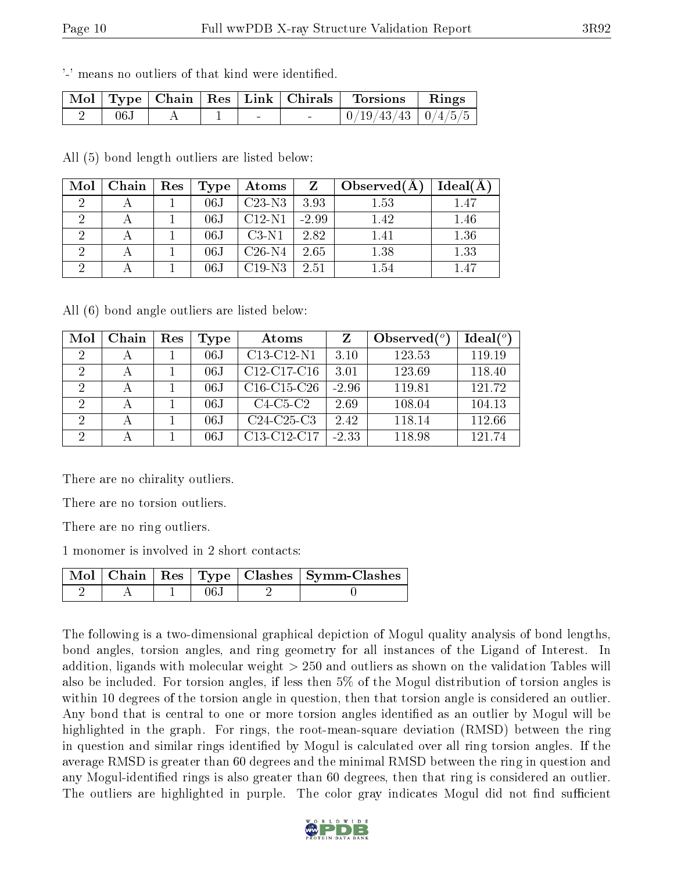'-' means no outliers of that kind were identified.

|      |  |        | Mol   Type   Chain   Res   Link   Chirals   Torsions   Rings |  |
|------|--|--------|--------------------------------------------------------------|--|
| 06.1 |  | $\sim$ | $0/19/43/43$   $0/4/5/5$                                     |  |

All (5) bond length outliers are listed below:

| Mol | Chain | Res | Type             | Atoms    | Z       | Observed(A) | Ideal(A) |
|-----|-------|-----|------------------|----------|---------|-------------|----------|
|     |       |     | 06J              | $C23-N3$ | 3.93    | 1.53        | 1.47     |
|     |       |     | 06J              | $C12-N1$ | $-2.99$ | 1.42        | 1.46     |
|     |       |     | 06J              | $C3-N1$  | 2.82    | 1.41        | 1.36     |
|     |       |     | 06J              | $C26-N4$ | 2.65    | 1.38        | 1.33     |
|     |       |     | $06\,\mathrm{J}$ | $C19-N3$ | 2.51    | 1.54        | 1.47     |

All (6) bond angle outliers are listed below:

| Mol                         | Chain | Res | Type | Atoms         | Z       | Observed $(^\circ)$ | $Ideal(^o)$ |
|-----------------------------|-------|-----|------|---------------|---------|---------------------|-------------|
| 2                           |       |     | 06J  | C13-C12-N1    | 3.10    | 123.53              | 119.19      |
| $\overline{2}$              |       |     | 06J  | $C12-C17-C16$ | 3.01    | 123.69              | 118.40      |
| 2                           |       |     | 06J  | $C16-C15-C26$ | $-2.96$ | 119.81              | 121.72      |
| 2                           |       |     | 06J  | $C4-C5-C2$    | 2.69    | 108.04              | 104.13      |
| $\mathcal{D}_{\mathcal{A}}$ |       |     | 06J  | $C24-C25-C3$  | 2.42    | 118.14              | 112.66      |
| $\overline{2}$              |       |     | 06J  | C13-C12-C17   | $-2.33$ | 118.98              | 121 74      |

There are no chirality outliers.

There are no torsion outliers.

There are no ring outliers.

1 monomer is involved in 2 short contacts:

|  |      | Mol   Chain   Res   Type   Clashes   Symm-Clashes |
|--|------|---------------------------------------------------|
|  | 06.J |                                                   |

The following is a two-dimensional graphical depiction of Mogul quality analysis of bond lengths, bond angles, torsion angles, and ring geometry for all instances of the Ligand of Interest. In addition, ligands with molecular weight > 250 and outliers as shown on the validation Tables will also be included. For torsion angles, if less then 5% of the Mogul distribution of torsion angles is within 10 degrees of the torsion angle in question, then that torsion angle is considered an outlier. Any bond that is central to one or more torsion angles identified as an outlier by Mogul will be highlighted in the graph. For rings, the root-mean-square deviation (RMSD) between the ring in question and similar rings identified by Mogul is calculated over all ring torsion angles. If the average RMSD is greater than 60 degrees and the minimal RMSD between the ring in question and any Mogul-identified rings is also greater than 60 degrees, then that ring is considered an outlier. The outliers are highlighted in purple. The color gray indicates Mogul did not find sufficient

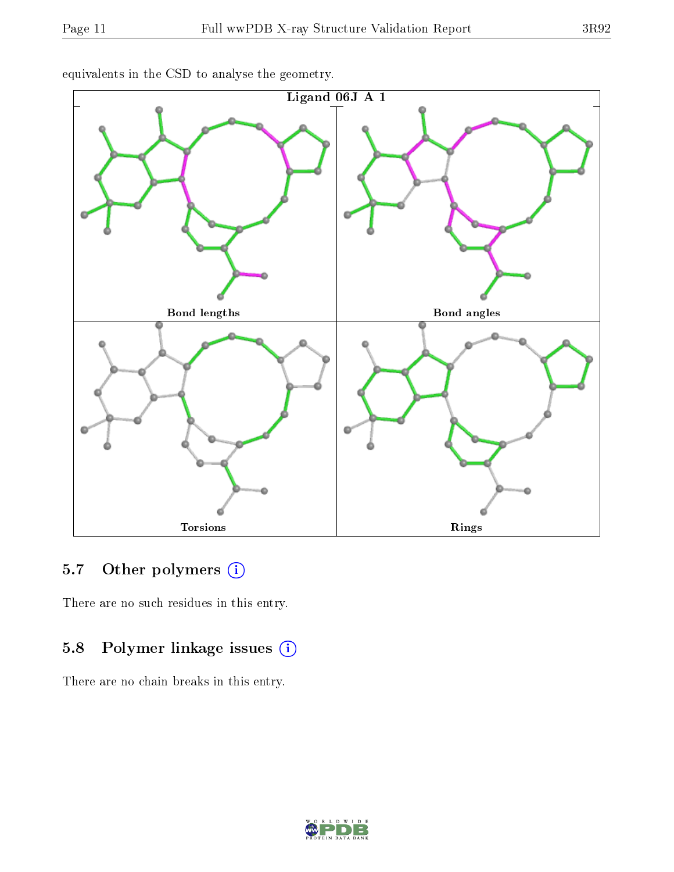

equivalents in the CSD to analyse the geometry.

### 5.7 [O](https://www.wwpdb.org/validation/2017/XrayValidationReportHelp#nonstandard_residues_and_ligands)ther polymers (i)

There are no such residues in this entry.

### 5.8 Polymer linkage issues (i)

There are no chain breaks in this entry.

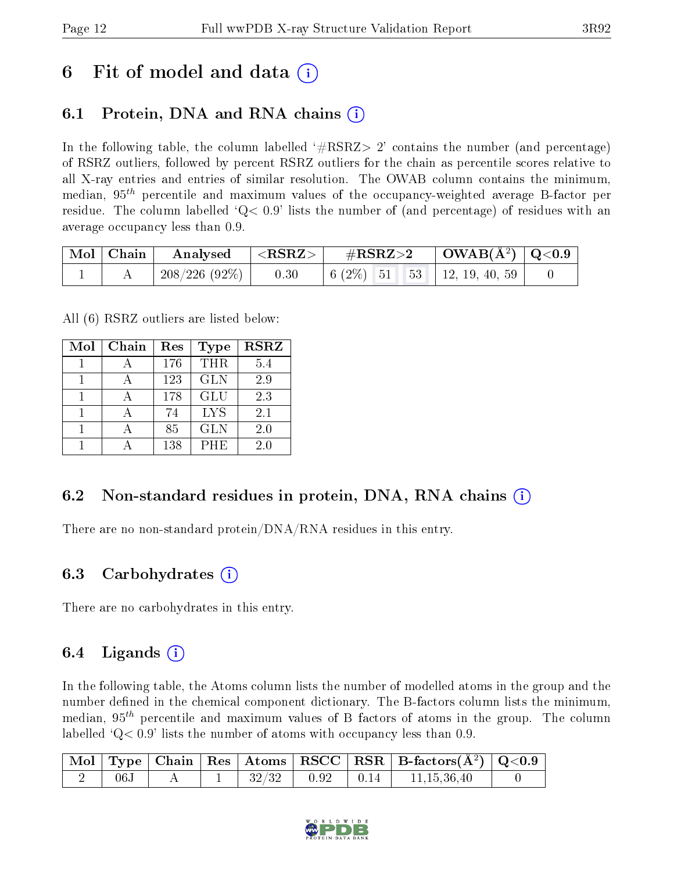# 6 Fit of model and data  $\left( \cdot \right)$

### 6.1 Protein, DNA and RNA chains (i)

In the following table, the column labelled  $#RSRZ>2'$  contains the number (and percentage) of RSRZ outliers, followed by percent RSRZ outliers for the chain as percentile scores relative to all X-ray entries and entries of similar resolution. The OWAB column contains the minimum, median,  $95<sup>th</sup>$  percentile and maximum values of the occupancy-weighted average B-factor per residue. The column labelled  $Q< 0.9$  lists the number of (and percentage) of residues with an average occupancy less than 0.9.

|  | $\vert$ Mol $\vert$ Chain $\vert$ Analysed $\vert$ <rsrz> <math>\vert</math></rsrz> |      | $\rm \#RSRZ{>}2$                                                                                | $\vert$ OWAB(Å <sup>2</sup> ) $\vert$ Q<0.9 |  |
|--|-------------------------------------------------------------------------------------|------|-------------------------------------------------------------------------------------------------|---------------------------------------------|--|
|  |                                                                                     | 0.30 | $\begin{array}{ c c c c c c c c } \hline 6 & 2\% & 51 & 53 & 12, 19, 40, 59 \hline \end{array}$ |                                             |  |

All (6) RSRZ outliers are listed below:

| Mol | Chain | Res | <b>Type</b> | <b>RSRZ</b> |
|-----|-------|-----|-------------|-------------|
|     |       | 176 | <b>THR</b>  | 5.4         |
|     |       | 123 | <b>GLN</b>  | 2.9         |
|     |       | 178 | <b>GLU</b>  | 2.3         |
|     |       | 74  | <b>LYS</b>  | 2.1         |
|     |       | 85  | <b>GLN</b>  | 2.0         |
|     |       | 138 | PHE         | 20          |

### 6.2 Non-standard residues in protein, DNA, RNA chains (i)

There are no non-standard protein/DNA/RNA residues in this entry.

#### 6.3 Carbohydrates (i)

There are no carbohydrates in this entry.

### 6.4 Ligands  $(i)$

In the following table, the Atoms column lists the number of modelled atoms in the group and the number defined in the chemical component dictionary. The B-factors column lists the minimum, median,  $95<sup>th</sup>$  percentile and maximum values of B factors of atoms in the group. The column labelled  $Q< 0.9$  lists the number of atoms with occupancy less than 0.9.

|           |  |  | $\vert$ Mol $\vert$ Type $\vert$ Chain $\vert$ Res $\vert$ Atoms $\vert$ RSCC $\vert$ RSR $\vert$ B-factors(A <sup>2</sup> ) $\vert$ Q<0.9 |  |
|-----------|--|--|--------------------------------------------------------------------------------------------------------------------------------------------|--|
| $06\rm J$ |  |  | $\begin{array}{ c c c c c c c c c } \hline 32/32 & 0.92 & 0.14 & 11,15,36,40 \ \hline \end{array}$                                         |  |